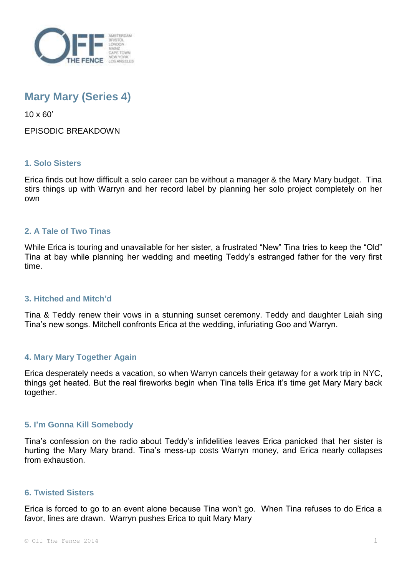

# **Mary Mary (Series 4)**

10 x 60'

# EPISODIC BREAKDOWN

# **1. Solo Sisters**

Erica finds out how difficult a solo career can be without a manager & the Mary Mary budget. Tina stirs things up with Warryn and her record label by planning her solo project completely on her own

# **2. A Tale of Two Tinas**

While Erica is touring and unavailable for her sister, a frustrated "New" Tina tries to keep the "Old" Tina at bay while planning her wedding and meeting Teddy's estranged father for the very first time.

#### **3. Hitched and Mitch'd**

Tina & Teddy renew their vows in a stunning sunset ceremony. Teddy and daughter Laiah sing Tina's new songs. Mitchell confronts Erica at the wedding, infuriating Goo and Warryn.

# **4. Mary Mary Together Again**

Erica desperately needs a vacation, so when Warryn cancels their getaway for a work trip in NYC, things get heated. But the real fireworks begin when Tina tells Erica it's time get Mary Mary back together.

#### **5. I'm Gonna Kill Somebody**

Tina's confession on the radio about Teddy's infidelities leaves Erica panicked that her sister is hurting the Mary Mary brand. Tina's mess-up costs Warryn money, and Erica nearly collapses from exhaustion.

#### **6. Twisted Sisters**

Erica is forced to go to an event alone because Tina won't go. When Tina refuses to do Erica a favor, lines are drawn. Warryn pushes Erica to quit Mary Mary